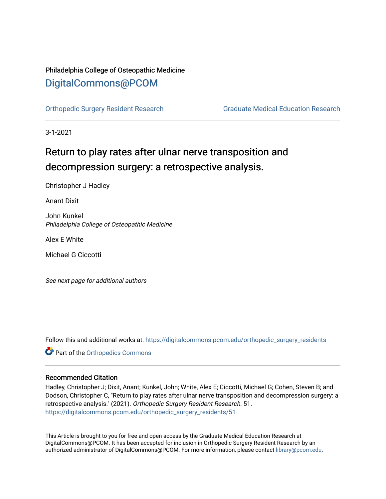## Philadelphia College of Osteopathic Medicine [DigitalCommons@PCOM](https://digitalcommons.pcom.edu/)

[Orthopedic Surgery Resident Research](https://digitalcommons.pcom.edu/orthopedic_surgery_residents) [Graduate Medical Education Research](https://digitalcommons.pcom.edu/graduate_medical_education_research) 

3-1-2021

# Return to play rates after ulnar nerve transposition and decompression surgery: a retrospective analysis.

Christopher J Hadley

Anant Dixit

John Kunkel Philadelphia College of Osteopathic Medicine

Alex E White

Michael G Ciccotti

See next page for additional authors

Follow this and additional works at: [https://digitalcommons.pcom.edu/orthopedic\\_surgery\\_residents](https://digitalcommons.pcom.edu/orthopedic_surgery_residents?utm_source=digitalcommons.pcom.edu%2Forthopedic_surgery_residents%2F51&utm_medium=PDF&utm_campaign=PDFCoverPages) 

**Part of the [Orthopedics Commons](http://network.bepress.com/hgg/discipline/696?utm_source=digitalcommons.pcom.edu%2Forthopedic_surgery_residents%2F51&utm_medium=PDF&utm_campaign=PDFCoverPages)** 

#### Recommended Citation

Hadley, Christopher J; Dixit, Anant; Kunkel, John; White, Alex E; Ciccotti, Michael G; Cohen, Steven B; and Dodson, Christopher C, "Return to play rates after ulnar nerve transposition and decompression surgery: a retrospective analysis." (2021). Orthopedic Surgery Resident Research. 51. [https://digitalcommons.pcom.edu/orthopedic\\_surgery\\_residents/51](https://digitalcommons.pcom.edu/orthopedic_surgery_residents/51?utm_source=digitalcommons.pcom.edu%2Forthopedic_surgery_residents%2F51&utm_medium=PDF&utm_campaign=PDFCoverPages)

This Article is brought to you for free and open access by the Graduate Medical Education Research at DigitalCommons@PCOM. It has been accepted for inclusion in Orthopedic Surgery Resident Research by an authorized administrator of DigitalCommons@PCOM. For more information, please contact [library@pcom.edu](mailto:library@pcom.edu).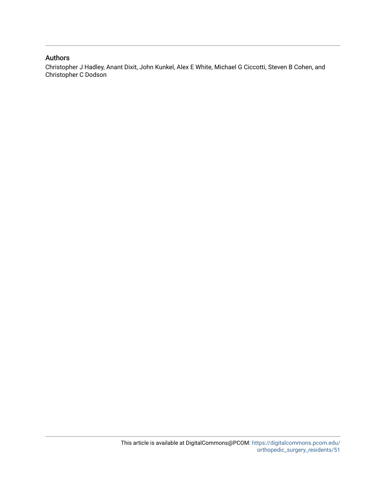### Authors

Christopher J Hadley, Anant Dixit, John Kunkel, Alex E White, Michael G Ciccotti, Steven B Cohen, and Christopher C Dodson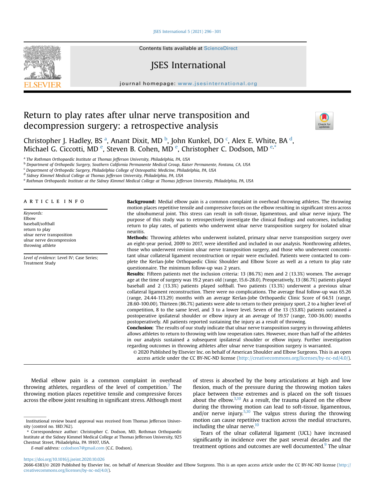ISES International  $5(2021)$  296 $-301$  $-301$ 



Contents lists available at ScienceDirect

### JSES International

journal homepage: [www.jsesinternational.org](http://www.jsesinternational.org)

### Return to play rates after ulnar nerve transposition and decompression surgery: a retrospective analysis



Christopher J. H[a](#page-2-0)dley, BS <sup>a</sup>, Anant Dixit, MD <sup>[b](#page-2-1)</sup>, John Kunkel, DO <sup>[c](#page-2-2)</sup>, Alex E. White, BA <sup>[d](#page-2-3)</sup>, Micha[e](#page-2-4)l G. Ciccotti, MD <sup>e</sup>, Steven B. Cohen, MD <sup>e</sup>, Christopher C. Dodson, MD <sup>e,[\\*](#page-2-5)</sup>

<span id="page-2-0"></span><sup>a</sup> The Rothman Orthopaedic Institute at Thomas Jefferson University, Philadelphia, PA, USA

<span id="page-2-1"></span><sup>b</sup> Department of Orthopedic Surgery, Southern California Permanente Medical Group, Kaiser Permanente, Fontana, CA, USA

<span id="page-2-2"></span><sup>c</sup> Department of Orthopedic Surgery, Philadelphia College of Osteopathic Medicine, Philadelphia, PA, USA

<span id="page-2-3"></span><sup>d</sup> Sidney Kimmel Medical College at Thomas Jefferson University, Philadelphia, PA, USA

<span id="page-2-4"></span><sup>e</sup> Rothman Orthopaedic Institute at the Sidney Kimmel Medical College at Thomas Jefferson University, Philadelphia, PA, USA

#### article info

Keywords: Elbow baseball/softball return to play ulnar nerve transposition ulnar nerve decompression throwing athlete

Level of evidence: Level IV; Case Series; Treatment Study

Background: Medial elbow pain is a common complaint in overhead throwing athletes. The throwing motion places repetitive tensile and compressive forces on the elbow resulting in significant stress across the ulnohumeral joint. This stress can result in soft-tissue, ligamentous, and ulnar nerve injury. The purpose of this study was to retrospectively investigate the clinical findings and outcomes, including return to play rates, of patients who underwent ulnar nerve transposition surgery for isolated ulnar neuritis.

Methods: Throwing athletes who underwent isolated, primary ulnar nerve transposition surgery over an eight-year period, 2009 to 2017, were identified and included in our analysis. Nonthrowing athletes, those who underwent revision ulnar nerve transposition surgery, and those who underwent concomitant ulnar collateral ligament reconstruction or repair were excluded. Patients were contacted to complete the Kerlan-Jobe Orthopaedic Clinic Shoulder and Elbow Score as well as a return to play rate questionnaire. The minimum follow-up was 2 years.

Results: Fifteen patients met the inclusion criteria: 13 (86.7%) men and 2 (13.3%) women. The average age at the time of surgery was 19.2 years old (range, 15.6-28.0). Preoperatively, 13 (86.7%) patients played baseball and 2 (13.3%) patients played softball. Two patients (13.3%) underwent a previous ulnar collateral ligament reconstruction. There were no complications. The average final follow-up was 65.26 (range, 24.44-113.29) months with an average Kerlan-Jobe Orthopaedic Clinic Score of 64.51 (range, 28.60-100.00). Thirteen (86.7%) patients were able to return to their preinjury sport, 2 to a higher level of competition, 8 to the same level, and 3 to a lower level. Seven of the 13 (53.8%) patients sustained a postoperative ipsilateral shoulder or elbow injury at an average of 19.57 (range, 7.00-36.00) months postoperatively. All patients reported sustaining the injury as a result of throwing.

**Conclusion:** The results of our study indicate that ulnar nerve transposition surgery in throwing athletes allows athletes to return to throwing with low reoperation rates. However, more than half of the athletes in our analysis sustained a subsequent ipsilateral shoulder or elbow injury. Further investigation regarding outcomes in throwing athletes after ulnar nerve transposition surgery is warranted.

© 2020 Published by Elsevier Inc. on behalf of American Shoulder and Elbow Surgeons. This is an open access article under the CC BY-NC-ND license [\(http://creativecommons.org/licenses/by-nc-nd/4.0/](http://creativecommons.org/licenses/by-nc-nd/4.0/)).

Medial elbow pain is a common complaint in overhead throwing athletes, regardless of the level of competition. $\ell$  The throwing motion places repetitive tensile and compressive forces across the elbow joint resulting in significant stress. Although most

E-mail address: [ccdodson7@gmail.com](mailto:ccdodson7@gmail.com) (C.C. Dodson).

of stress is absorbed by the bony articulations at high and low flexion, much of the pressure during the throwing motion takes place between these extremes and is placed on the soft tissues about the elbow. $3,10$  $3,10$  $3,10$  As a result, the trauma placed on the elbow during the throwing motion can lead to soft-tissue, ligamentous, and/or nerve injury.<sup>[5](#page-7-0),[10](#page-7-0)</sup> The valgus stress during the throwing motion can cause repetitive traction across the medial structures, including the ulnar nerve. $10$ 

Tears of the ulnar collateral ligament (UCL) have increased significantly in incidence over the past several decades and the treatment options and outcomes are well documented.<sup>9</sup> The ulnar

<https://doi.org/10.1016/j.jseint.2020.10.026>

Institutional review board approval was received from Thomas Jefferson University (control no. 18D.762).

<span id="page-2-5"></span><sup>\*</sup> Correspondence author: Christopher C. Dodson, MD, Rothman Orthopaedic Institute at the Sidney Kimmel Medical College at Thomas Jefferson University, 925 Chestnut Street, Philadelphia, PA 19107, USA.

<sup>2666-6383/</sup>© 2020 Published by Elsevier Inc. on behalf of American Shoulder and Elbow Surgeons. This is an open access article under the CC BY-NC-ND license ([http://](http://creativecommons.org/licenses/by-nc-nd/4.0/) [creativecommons.org/licenses/by-nc-nd/4.0/](http://creativecommons.org/licenses/by-nc-nd/4.0/)).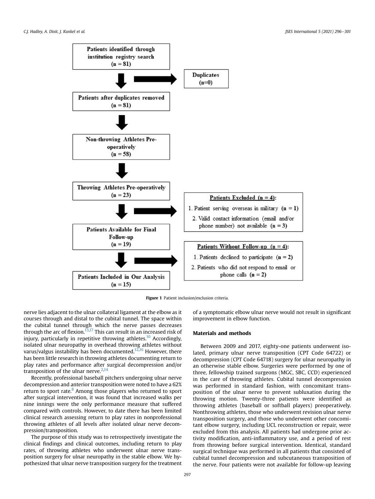<span id="page-3-0"></span>



nerve lies adjacent to the ulnar collateral ligament at the elbow as it courses through and distal to the cubital tunnel. The space within the cubital tunnel through which the nerve passes decreases through the arc of flexion.<sup>[13,17](#page-7-0)</sup> This can result in an increased risk of injury, particularly in repetitive throwing athletes.<sup>[10](#page-7-0)</sup> Accordingly, isolated ulnar neuropathy in overhead throwing athletes without varus/valgus instability has been documented.<sup>[12](#page-7-0),[16](#page-7-0)</sup> However, there has been little research in throwing athletes documenting return to play rates and performance after surgical decompression and/or transposition of the ulnar nerve. $2,14$ 

Recently, professional baseball pitchers undergoing ulnar nerve decompression and anterior transposition were noted to have a 62% return to sport rate. $8$  Among those players who returned to sport after surgical intervention, it was found that increased walks per nine innings were the only performance measure that suffered compared with controls. However, to date there has been limited clinical research assessing return to play rates in nonprofessional throwing athletes of all levels after isolated ulnar nerve decompression/transposition.

The purpose of this study was to retrospectively investigate the clinical findings and clinical outcomes, including return to play rates, of throwing athletes who underwent ulnar nerve transposition surgery for ulnar neuropathy in the stable elbow. We hypothesized that ulnar nerve transposition surgery for the treatment

of a symptomatic elbow ulnar nerve would not result in significant improvement in elbow function.

#### Materials and methods

Between 2009 and 2017, eighty-one patients underwent isolated, primary ulnar nerve transposition (CPT Code 64722) or decompression (CPT Code 64718) surgery for ulnar neuropathy in an otherwise stable elbow. Surgeries were performed by one of three, fellowship trained surgeons (MGC, SBC, CCD) experienced in the care of throwing athletes. Cubital tunnel decompression was performed in standard fashion, with concomitant transposition of the ulnar nerve to prevent subluxation during the throwing motion. Twenty-three patients were identified as throwing athletes (baseball or softball players) preoperatively. Nonthrowing athletes, those who underwent revision ulnar nerve transposition surgery, and those who underwent other concomitant elbow surgery, including UCL reconstruction or repair, were excluded from this analysis. All patients had undergone prior activity modification, anti-inflammatory use, and a period of rest from throwing before surgical intervention. Identical, standard surgical technique was performed in all patients that consisted of cubital tunnel decompression and subcutaneous transposition of the nerve. Four patients were not available for follow-up leaving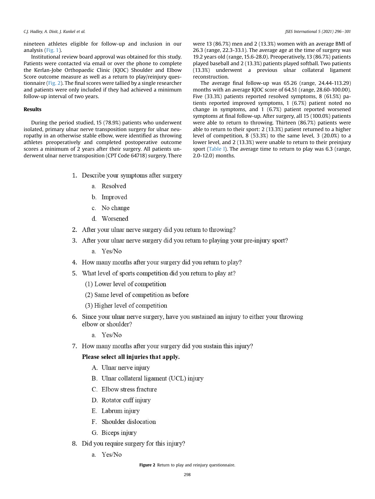nineteen athletes eligible for follow-up and inclusion in our analysis ([Fig. 1\)](#page-3-0).

Institutional review board approval was obtained for this study. Patients were contacted via email or over the phone to complete the Kerlan-Jobe Orthopaedic Clinic (KJOC) Shoulder and Elbow Score outcome measure as well as a return to play/reinjury questionnaire (Fig. 2). The final scores were tallied by a single researcher and patients were only included if they had achieved a minimum follow-up interval of two years.

#### Results

During the period studied, 15 (78.9%) patients who underwent isolated, primary ulnar nerve transposition surgery for ulnar neuropathy in an otherwise stable elbow, were identified as throwing athletes preoperatively and completed postoperative outcome scores a minimum of 2 years after their surgery. All patients underwent ulnar nerve transposition (CPT Code 64718) surgery. There were 13 (86.7%) men and 2 (13.3%) women with an average BMI of 26.3 (range, 22.3-33.1). The average age at the time of surgery was 19.2 years old (range, 15.6-28.0). Preoperatively, 13 (86.7%) patients played baseball and 2 (13.3%) patients played softball. Two patients (13.3%) underwent a previous ulnar collateral ligament reconstruction.

The average final follow-up was 65.26 (range, 24.44-113.29) months with an average KJOC score of 64.51 (range, 28.60-100.00). Five (33.3%) patients reported resolved symptoms, 8 (61.5%) patients reported improved symptoms, 1 (6.7%) patient noted no change in symptoms, and 1 (6.7%) patient reported worsened symptoms at final follow-up. After surgery, all 15 (100.0%) patients were able to return to throwing. Thirteen (86.7%) patients were able to return to their sport: 2 (13.3%) patient returned to a higher level of competition, 8 (53.3%) to the same level, 3 (20.0%) to a lower level, and 2 (13.3%) were unable to return to their preinjury sport [\(Table I](#page-5-0)). The average time to return to play was 6.3 (range, 2.0-12.0) months.

- 1. Describe your symptoms after surgery
	- a. Resolved
	- b. Improved
	- c. No change
	- d. Worsened
- 2. After your ulnar nerve surgery did you return to throwing?
- 3. After your ulnar nerve surgery did you return to playing your pre-injury sport?

a. Yes/No

- 4. How many months after your surgery did you return to play?
- 5. What level of sports competition did you return to play at?
	- (1) Lower level of competition
	- (2) Same level of competition as before
	- (3) Higher level of competition
- 6. Since your ulnar nerve surgery, have you sustained an injury to either your throwing elbow or shoulder?
	- a Yes/No
- 7. How many months after your surgery did you sustain this injury?

#### Please select all injuries that apply.

- A. Ulnar nerve injury
- B. Ulnar collateral ligament (UCL) injury
- C. Elbow stress fracture
- D. Rotator cuff injury
- E. Labrum injury
- F. Shoulder dislocation
- G. Biceps injury
- 8. Did you require surgery for this injury?
	- a. Yes/No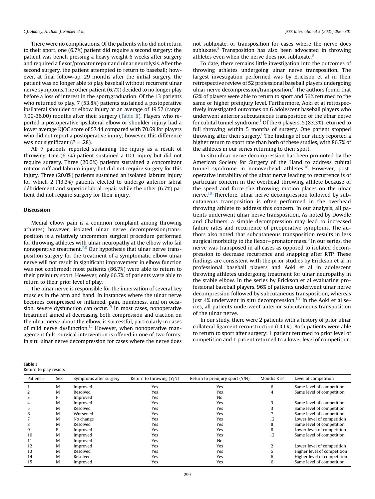<span id="page-5-0"></span>There were no complications. Of the patients who did not return to their sport, one (6.7%) patient did require a second surgery: the patient was bench pressing a heavy weight 6 weeks after surgery and required a flexor/pronator repair and ulnar neurolysis. After the second surgery, the patient attempted to return to baseball; however, at final follow-up, 29 months after the initial surgery, the patient was no longer able to play baseball without recurrent ulnar nerve symptoms. The other patient (6.7%) decided to no longer play before a loss of interest in the sport/graduation. Of the 13 patients who returned to play, 7 (53.8%) patients sustained a postoperative ipsilateral shoulder or elbow injury at an average of 19.57 (range, 7.00-36.00) months after their surgery [\(Table II](#page-6-0)). Players who reported a postoperative ipsilateral elbow or shoulder injury had a lower average KJOC score of 57.44 compared with 70.69 for players who did not report a postoperative injury; however, this difference was not significant ( $P = .28$ ).

All 7 patients reported sustaining the injury as a result of throwing. One (6.7%) patient sustained a UCL injury but did not require surgery. Three (20.0%) patients sustained a concomitant rotator cuff and labrum injury but did not require surgery for this injury. Three (20.0%) patients sustained an isolated labrum injury for which 2 (13.3%) patients elected to undergo anterior labral debridement and superior labral repair while the other (6.7%) pa tient did not require surgery for their injury.

#### Discussion

Medial elbow pain is a common complaint among throwing athletes; however, isolated ulnar nerve decompression/transposition is a relatively uncommon surgical procedure performed for throwing athletes with ulnar neuropathy at the elbow who fail nonoperative treatment.[7,8](#page-7-0) Our hypothesis that ulnar nerve transposition surgery for the treatment of a symptomatic elbow ulnar nerve will not result in significant improvement in elbow function was not confirmed: most patients (86.7%) were able to return to their preinjury sport. However, only 66.7% of patients were able to return to their prior level of play.

The ulnar nerve is responsible for the innervation of several key muscles in the arm and hand. In instances where the ulnar nerve becomes compressed or inflamed, pain, numbness, and on occa-sion, severe dysfunction can occur.<sup>[15](#page-7-0)</sup> In most cases, nonoperative treatment aimed at decreasing both compression and traction on the ulnar nerve about the elbow, is successful, particularly in cases of mild nerve dysfunction.<sup>[15](#page-7-0)</sup> However, when nonoperative management fails, surgical intervention is offered in one of two forms: in situ ulnar nerve decompression for cases where the nerve does

| Table I                |  |  |
|------------------------|--|--|
| Return to play results |  |  |

not subluxate, or transposition for cases where the nerve does subluxate. $8$  Transposition has also been advocated in throwing athletes even when the nerve does not subluxate.<sup>8</sup>

To date, there remains little investigation into the outcomes of throwing athletes undergoing ulnar nerve transposition. The largest investigation performed was by Erickson et al in their retrospective review of 52 professional baseball players undergoing ulnar nerve decompression/transposition.<sup>8</sup> The authors found that 62% of players were able to return to sport and 56% returned to the same or higher preinjury level. Furthermore, Aoki et al retrospectively investigated outcomes on 6 adolescent baseball players who underwent anterior subcutaneous transposition of the ulnar nerve for cubital tunnel syndrome.<sup>[1](#page-7-0)</sup> Of the 6 players,  $5(83.3%)$  returned to full throwing within 5 months of surgery. One patient stopped throwing after their surgery.<sup>[1](#page-7-0)</sup> The findings of our study reported a higher return to sport rate than both of these studies, with 86.7% of the athletes in our series returning to their sport.

In situ ulnar nerve decompression has been promoted by the American Society for Surgery of the Hand to address cubital tunnel syndrome in nonoverhead athletes.<sup>[18](#page-7-0)</sup> However, postoperative instability of the ulnar nerve leading to recurrence is of particular concern in the overhead throwing athlete because of the speed and force the throwing motion places on the ulnar nerve.<sup>18</sup> Therefore, ulnar nerve decompression followed by subcutaneous transposition is often performed in the overhead throwing athlete to address this concern. In our analysis, all patients underwent ulnar nerve transposition. As noted by Dowdle and Chalmers, a simple decompression may lead to increased failure rates and recurrence of preoperative symptoms. The authors also noted that subcutaneous transposition results in less surgical morbidity to the flexor-pronator mass. $6$  In our series, the nerve was transposed in all cases as opposed to isolated decompression to decrease recurrence and snapping after RTP. These findings are consistent with the prior studies by Erickson et al in professional baseball players and Aoki et al in adolescent throwing athletes undergoing treatment for ulnar neuropathy in the stable elbow. In the series by Erickson et al evaluating professional baseball players, 96% of patients underwent ulnar nerve decompression followed by subcutaneous transposition, whereas just  $4\%$  underwent in situ decompression.<sup>[1,8](#page-7-0)</sup> In the Aoki et al series, all patients underwent anterior subcutaneous transposition of the ulnar nerve.

In our study, there were 2 patients with a history of prior ulnar collateral ligament reconstruction (UCLR). Both patients were able to return to sport after surgery: 1 patient returned to prior level of competition and 1 patient returned to a lower level of competition.

| Patient # | Sex | Symptoms after surgery | Return to throwing $(Y/N)$ | Return to preinjury sport $(Y/N)$ | Months RTP | Level of competition        |
|-----------|-----|------------------------|----------------------------|-----------------------------------|------------|-----------------------------|
|           | M   | Improved               | Yes                        | Yes                               | 6          | Same level of competition   |
|           | M   | Resolved               | Yes                        | Yes                               | 4          | Same level of competition   |
|           |     | Improved               | Yes                        | No                                |            |                             |
|           | M   | Improved               | Yes                        | Yes                               |            | Same level of competition   |
|           | M   | Resolved               | Yes                        | Yes                               |            | Same level of competition   |
|           | M   | Worsened               | Yes                        | Yes                               |            | Same level of competition   |
|           | M   | No change              | Yes                        | Yes                               | 12         | Lower level of competition  |
|           | M   | Resolved               | Yes                        | Yes                               | 8          | Same level of competition   |
|           |     | Improved               | Yes                        | Yes                               | 8          | Lower level of competition  |
| 10        | M   | Improved               | Yes                        | Yes                               | 12         | Same level of competition   |
| 11        | M   | Improved               | Yes                        | No                                |            |                             |
| 12        | M   | Improved               | Yes                        | Yes                               |            | Lower level of competition  |
| 13        | M   | Resolved               | Yes                        | Yes                               |            | Higher level of competition |
| 14        | M   | Resolved               | Yes                        | Yes                               | 6          | Higher level of competition |
| 15        | M   | Improved               | Yes                        | Yes                               | h          | Same level of competition   |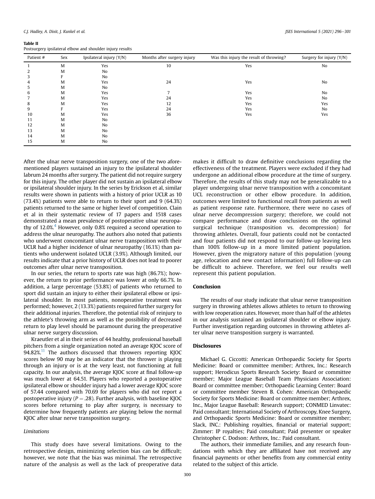#### <span id="page-6-0"></span>Table II

Postsurgery ipsilateral elbow and shoulder injury results

| Patient # | Sex | Ipsilateral injury (Y/N) | Months after surgery injury | Was this injury the result of throwing? | Surgery for injury (Y/N) |
|-----------|-----|--------------------------|-----------------------------|-----------------------------------------|--------------------------|
|           | M   | Yes                      | 10                          | Yes                                     | No                       |
|           | M   | No                       |                             |                                         |                          |
|           | Е   | N <sub>o</sub>           |                             |                                         |                          |
| 4         | M   | Yes                      | 24                          | Yes                                     | No                       |
|           | M   | No                       |                             |                                         |                          |
| b         | M   | Yes                      |                             | Yes                                     | No                       |
|           | M   | Yes                      | 24                          | Yes                                     | No                       |
| 8         | M   | Yes                      | 12                          | Yes                                     | Yes                      |
| 9         | Е   | Yes                      | 24                          | Yes                                     | No                       |
| 10        | M   | Yes                      | 36                          | Yes                                     | Yes                      |
| 11        | M   | No                       |                             |                                         |                          |
| 12        | M   | No                       |                             |                                         |                          |
| 13        | M   | No                       |                             |                                         |                          |
| 14        | M   | No                       |                             |                                         |                          |
| 15        | M   | No                       |                             |                                         |                          |

After the ulnar nerve transposition surgery, one of the two aforementioned players sustained an injury to the ipsilateral shoulder labrum 24 months after surgery. The patient did not require surgery for this injury. The other player did not sustain an ipsilateral elbow or ipsilateral shoulder injury. In the series by Erickson et al, similar results were shown in patients with a history of prior UCLR as 10 (73.4%) patients were able to return to their sport and 9 (64.3%) patients returned to the same or higher level of competition. Clain et al in their systematic review of 17 papers and 1518 cases demonstrated a mean prevalence of postoperative ulnar neuropa-thy of 12.0%.<sup>[4](#page-7-0)</sup> However, only 0.8% required a second operation to address the ulnar neuropathy. The authors also noted that patients who underwent concomitant ulnar nerve transposition with their UCLR had a higher incidence of ulnar neuropathy (16.1%) than patients who underwent isolated UCLR (3.9%). Although limited, our results indicate that a prior history of UCLR does not lead to poorer outcomes after ulnar nerve transposition.

In our series, the return to sports rate was high (86.7%); however, the return to prior performance was lower at only 66.7%. In addition, a large percentage (53.8%) of patients who returned to sport did sustain an injury to either their ipsilateral elbow or ipsilateral shoulder. In most patients, nonoperative treatment was performed; however, 2 (13.3%) patients required further surgery for their additional injuries. Therefore, the potential risk of reinjury to the athlete's throwing arm as well as the possibility of decreased return to play level should be paramount during the preoperative ulnar nerve surgery discussion.

Kraeutler et al in their series of 44 healthy, professional baseball pitchers from a single organization noted an average KJOC score of  $94.82\%$ .<sup>11</sup> The authors discussed that throwers reporting KJOC scores below 90 may be an indicator that the thrower is playing through an injury or is at the very least, not functioning at full capacity. In our analysis, the average KJOC score at final follow-up was much lower at 64.51. Players who reported a postoperative ipsilateral elbow or shoulder injury had a lower average KJOC score of 57.44 compared with 70.69 for players who did not report a postoperative injury ( $P = .28$ ). Further analysis, with baseline KJOC scores before returning to play after surgery, is necessary to determine how frequently patients are playing below the normal KJOC after ulnar nerve transposition surgery.

#### Limitations

This study does have several limitations. Owing to the retrospective design, minimizing selection bias can be difficult; however, we note that the bias was minimal. The retrospective nature of the analysis as well as the lack of preoperative data

makes it difficult to draw definitive conclusions regarding the effectiveness of the treatment. Players were excluded if they had undergone an additional elbow procedure at the time of surgery. Therefore, the results of this study may not be generalizable to a player undergoing ulnar nerve transposition with a concomitant UCL reconstruction or other elbow procedure. In addition, outcomes were limited to functional recall from patients as well as patient response rate. Furthermore, there were no cases of ulnar nerve decompression surgery; therefore, we could not compare performance and draw conclusions on the optimal surgical technique (transposition vs. decompression) for throwing athletes. Overall, four patients could not be contacted and four patients did not respond to our follow-up leaving less than 100% follow-up in a more limited patient population. However, given the migratory nature of this population (young age, relocation and new contact information) full follow-up can be difficult to achieve. Therefore, we feel our results well represent this patient population.

#### Conclusion

The results of our study indicate that ulnar nerve transposition surgery in throwing athletes allows athletes to return to throwing with low reoperation rates. However, more than half of the athletes in our analysis sustained an ipsilateral shoulder or elbow injury. Further investigation regarding outcomes in throwing athletes after ulnar nerve transposition surgery is warranted.

#### Disclosures

Michael G. Ciccotti: American Orthopaedic Society for Sports Medicine: Board or committee member; Arthrex, Inc.: Research support; Herodicus Sports Research Society: Board or committee member; Major League Baseball Team Physicians Association: Board or committee member; Orthopaedic Learning Center: Board or committee member Steven B. Cohen: American Orthopaedic Society for Sports Medicine: Board or committee member; Arthrex, Inc., Major League Baseball: Research support; CONMED Linvatec: Paid consultant; International Society of Arthroscopy, Knee Surgery, and Orthopaedic Sports Medicine: Board or committee member; Slack, INC.: Publishing royalties, financial or material support; Zimmer: IP royalties; Paid consultant; Paid presenter or speaker Christopher C. Dodson: Arthrex, Inc.: Paid consultant.

The authors, their immediate families, and any research foundations with which they are affiliated have not received any financial payments or other benefits from any commercial entity related to the subject of this article.